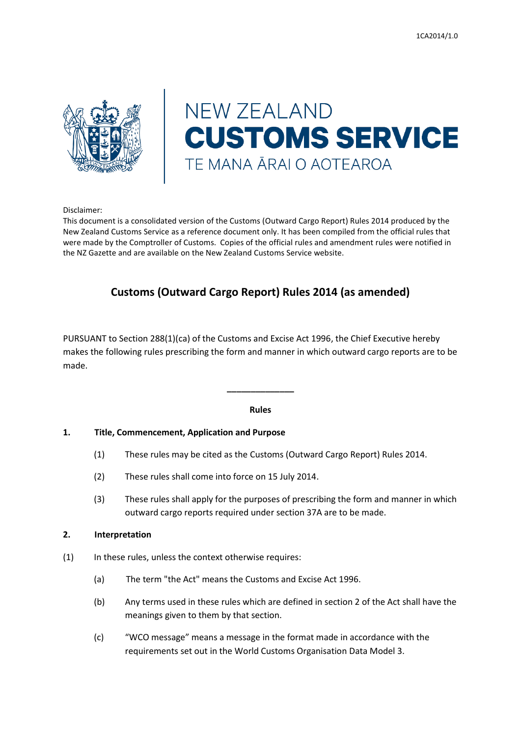

# **NEW ZEALAND CUSTOMS SERVICE** TE MANA ĀRAI O AOTEAROA

Disclaimer:

This document is a consolidated version of the Customs (Outward Cargo Report) Rules 2014 produced by the New Zealand Customs Service as a reference document only. It has been compiled from the official rules that were made by the Comptroller of Customs. Copies of the official rules and amendment rules were notified in the NZ Gazette and are available on the New Zealand Customs Service website.

# **Customs (Outward Cargo Report) Rules 2014 (as amended)**

PURSUANT to Section 288(1)(ca) of the Customs and Excise Act 1996, the Chief Executive hereby makes the following rules prescribing the form and manner in which outward cargo reports are to be made.

# **Rules**

**\_\_\_\_\_\_\_\_\_\_\_\_\_\_**

# **1. Title, Commencement, Application and Purpose**

- (1) These rules may be cited as the Customs (Outward Cargo Report) Rules 2014.
- (2) These rules shall come into force on 15 July 2014.
- (3) These rules shall apply for the purposes of prescribing the form and manner in which outward cargo reports required under section 37A are to be made.

# **2. Interpretation**

- (1) In these rules, unless the context otherwise requires:
	- (a) The term "the Act" means the Customs and Excise Act 1996.
	- (b) Any terms used in these rules which are defined in section 2 of the Act shall have the meanings given to them by that section.
	- (c) "WCO message" means a message in the format made in accordance with the requirements set out in the World Customs Organisation Data Model 3.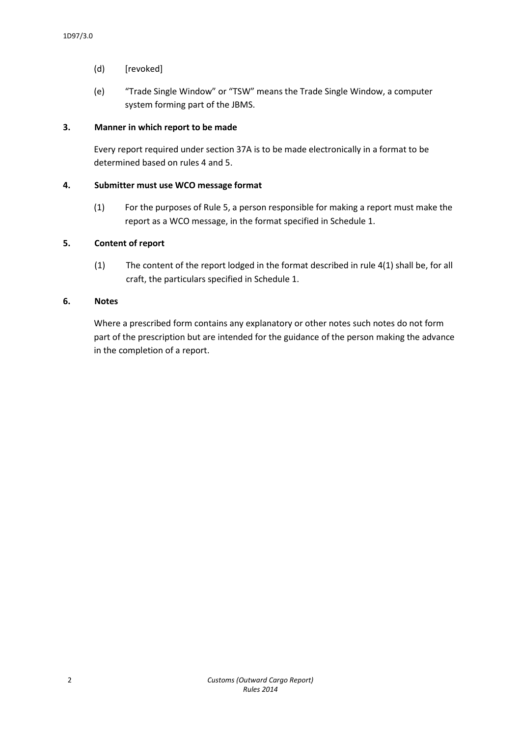- (d) [revoked]
- (e) "Trade Single Window" or "TSW" means the Trade Single Window, a computer system forming part of the JBMS.

# **3. Manner in which report to be made**

Every report required under section 37A is to be made electronically in a format to be determined based on rules 4 and 5.

# **4. Submitter must use WCO message format**

(1) For the purposes of Rule 5, a person responsible for making a report must make the report as a WCO message, in the format specified in Schedule 1.

# **5. Content of report**

(1) The content of the report lodged in the format described in rule 4(1) shall be, for all craft, the particulars specified in Schedule 1.

# **6. Notes**

Where a prescribed form contains any explanatory or other notes such notes do not form part of the prescription but are intended for the guidance of the person making the advance in the completion of a report.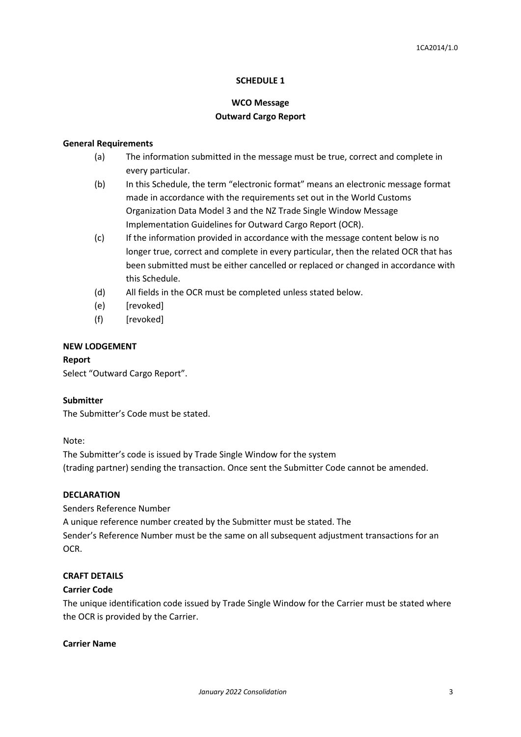#### **SCHEDULE 1**

# **WCO Message Outward Cargo Report**

#### **General Requirements**

- (a) The information submitted in the message must be true, correct and complete in every particular.
- (b) In this Schedule, the term "electronic format" means an electronic message format made in accordance with the requirements set out in the World Customs Organization Data Model 3 and the NZ Trade Single Window Message Implementation Guidelines for Outward Cargo Report (OCR).
- (c) If the information provided in accordance with the message content below is no longer true, correct and complete in every particular, then the related OCR that has been submitted must be either cancelled or replaced or changed in accordance with this Schedule.
- (d) All fields in the OCR must be completed unless stated below.
- (e) [revoked]
- (f) [revoked]

#### **NEW LODGEMENT**

# **Report**

Select "Outward Cargo Report".

#### **Submitter**

The Submitter's Code must be stated.

Note:

The Submitter's code is issued by Trade Single Window for the system (trading partner) sending the transaction. Once sent the Submitter Code cannot be amended.

#### **DECLARATION**

Senders Reference Number

A unique reference number created by the Submitter must be stated. The

Sender's Reference Number must be the same on all subsequent adjustment transactions for an OCR.

#### **CRAFT DETAILS**

#### **Carrier Code**

The unique identification code issued by Trade Single Window for the Carrier must be stated where the OCR is provided by the Carrier.

#### **Carrier Name**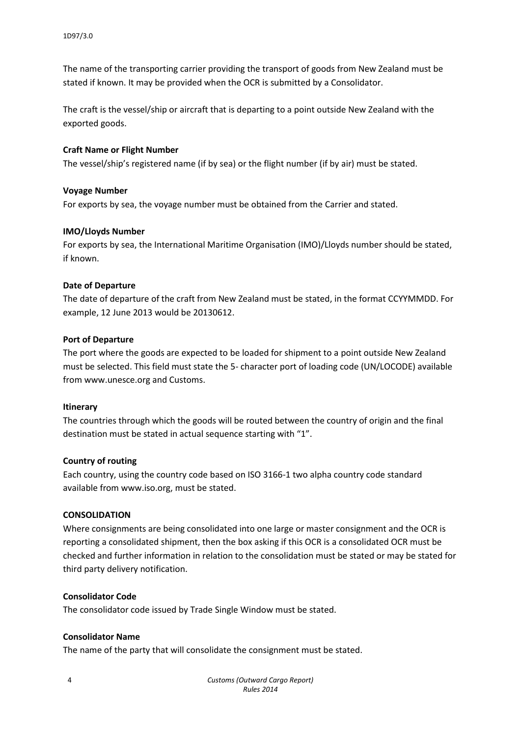The name of the transporting carrier providing the transport of goods from New Zealand must be stated if known. It may be provided when the OCR is submitted by a Consolidator.

The craft is the vessel/ship or aircraft that is departing to a point outside New Zealand with the exported goods.

#### **Craft Name or Flight Number**

The vessel/ship's registered name (if by sea) or the flight number (if by air) must be stated.

#### **Voyage Number**

For exports by sea, the voyage number must be obtained from the Carrier and stated.

#### **IMO/Lloyds Number**

For exports by sea, the International Maritime Organisation (IMO)/Lloyds number should be stated, if known.

#### **Date of Departure**

The date of departure of the craft from New Zealand must be stated, in the format CCYYMMDD. For example, 12 June 2013 would be 20130612.

#### **Port of Departure**

The port where the goods are expected to be loaded for shipment to a point outside New Zealand must be selected. This field must state the 5- character port of loading code (UN/LOCODE) available from www.unesce.org and Customs.

#### **Itinerary**

The countries through which the goods will be routed between the country of origin and the final destination must be stated in actual sequence starting with "1".

# **Country of routing**

Each country, using the country code based on ISO 3166-1 two alpha country code standard available from www.iso.org, must be stated.

#### **CONSOLIDATION**

Where consignments are being consolidated into one large or master consignment and the OCR is reporting a consolidated shipment, then the box asking if this OCR is a consolidated OCR must be checked and further information in relation to the consolidation must be stated or may be stated for third party delivery notification.

#### **Consolidator Code**

The consolidator code issued by Trade Single Window must be stated.

# **Consolidator Name**

The name of the party that will consolidate the consignment must be stated.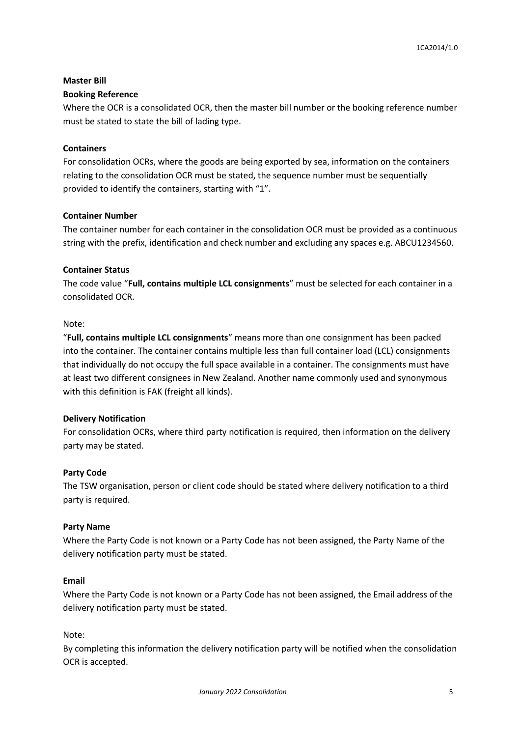# **Master Bill**

#### **Booking Reference**

Where the OCR is a consolidated OCR, then the master bill number or the booking reference number must be stated to state the bill of lading type.

# **Containers**

For consolidation OCRs, where the goods are being exported by sea, information on the containers relating to the consolidation OCR must be stated, the sequence number must be sequentially provided to identify the containers, starting with "1".

#### **Container Number**

The container number for each container in the consolidation OCR must be provided as a continuous string with the prefix, identification and check number and excluding any spaces e.g. ABCU1234560.

#### **Container Status**

The code value "**Full, contains multiple LCL consignments**" must be selected for each container in a consolidated OCR.

#### Note:

"**Full, contains multiple LCL consignments**" means more than one consignment has been packed into the container. The container contains multiple less than full container load (LCL) consignments that individually do not occupy the full space available in a container. The consignments must have at least two different consignees in New Zealand. Another name commonly used and synonymous with this definition is FAK (freight all kinds).

# **Delivery Notification**

For consolidation OCRs, where third party notification is required, then information on the delivery party may be stated.

# **Party Code**

The TSW organisation, person or client code should be stated where delivery notification to a third party is required.

#### **Party Name**

Where the Party Code is not known or a Party Code has not been assigned, the Party Name of the delivery notification party must be stated.

#### **Email**

Where the Party Code is not known or a Party Code has not been assigned, the Email address of the delivery notification party must be stated.

#### Note:

By completing this information the delivery notification party will be notified when the consolidation OCR is accepted.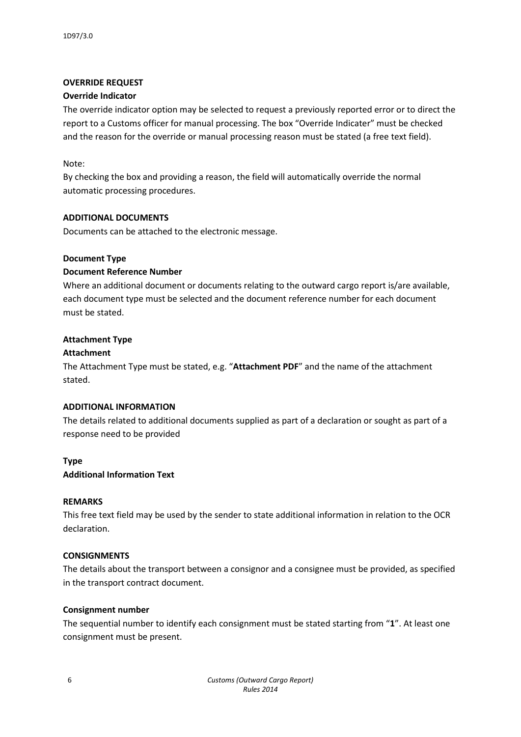# **OVERRIDE REQUEST**

# **Override Indicator**

The override indicator option may be selected to request a previously reported error or to direct the report to a Customs officer for manual processing. The box "Override Indicater" must be checked and the reason for the override or manual processing reason must be stated (a free text field).

# Note:

By checking the box and providing a reason, the field will automatically override the normal automatic processing procedures.

# **ADDITIONAL DOCUMENTS**

Documents can be attached to the electronic message.

# **Document Type**

# **Document Reference Number**

Where an additional document or documents relating to the outward cargo report is/are available, each document type must be selected and the document reference number for each document must be stated.

# **Attachment Type**

# **Attachment**

The Attachment Type must be stated, e.g. "**Attachment PDF**" and the name of the attachment stated.

# **ADDITIONAL INFORMATION**

The details related to additional documents supplied as part of a declaration or sought as part of a response need to be provided

# **Type**

# **Additional Information Text**

# **REMARKS**

This free text field may be used by the sender to state additional information in relation to the OCR declaration.

# **CONSIGNMENTS**

The details about the transport between a consignor and a consignee must be provided, as specified in the transport contract document.

# **Consignment number**

The sequential number to identify each consignment must be stated starting from "**1**". At least one consignment must be present.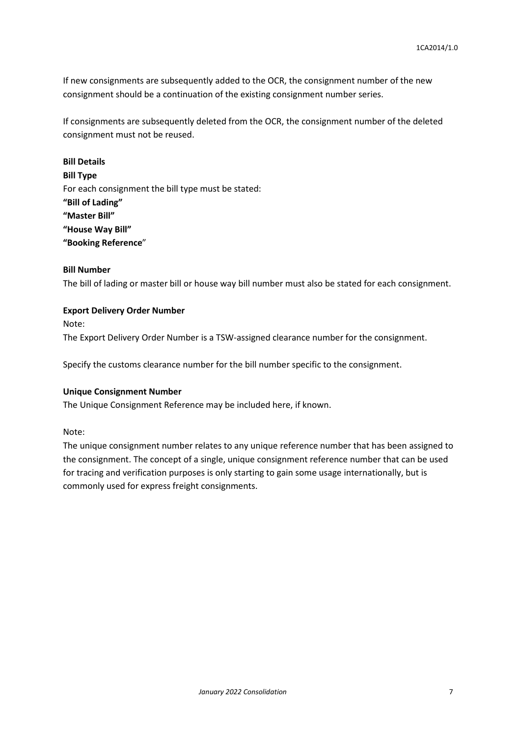If new consignments are subsequently added to the OCR, the consignment number of the new consignment should be a continuation of the existing consignment number series.

If consignments are subsequently deleted from the OCR, the consignment number of the deleted consignment must not be reused.

**Bill Details Bill Type** For each consignment the bill type must be stated: **"Bill of Lading" "Master Bill" "House Way Bill" "Booking Reference**"

#### **Bill Number**

The bill of lading or master bill or house way bill number must also be stated for each consignment.

# **Export Delivery Order Number**

Note:

The Export Delivery Order Number is a TSW-assigned clearance number for the consignment.

Specify the customs clearance number for the bill number specific to the consignment.

#### **Unique Consignment Number**

The Unique Consignment Reference may be included here, if known.

Note:

The unique consignment number relates to any unique reference number that has been assigned to the consignment. The concept of a single, unique consignment reference number that can be used for tracing and verification purposes is only starting to gain some usage internationally, but is commonly used for express freight consignments.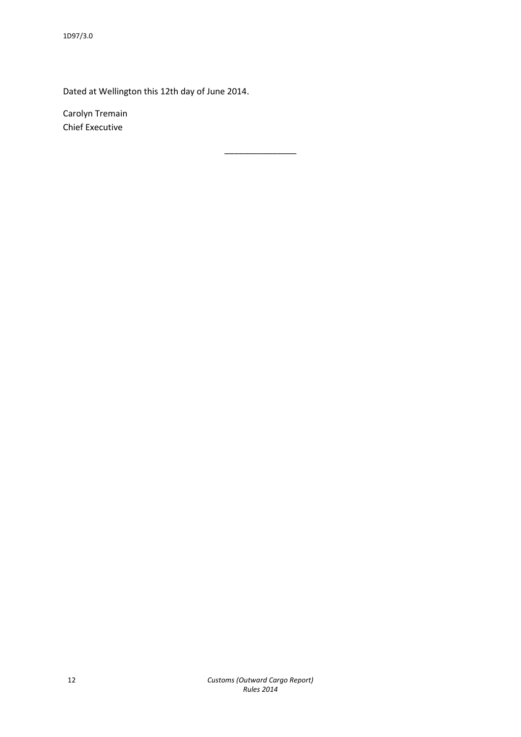Dated at Wellington this 12th day of June 2014.

Carolyn Tremain Chief Executive

\_\_\_\_\_\_\_\_\_\_\_\_\_\_\_